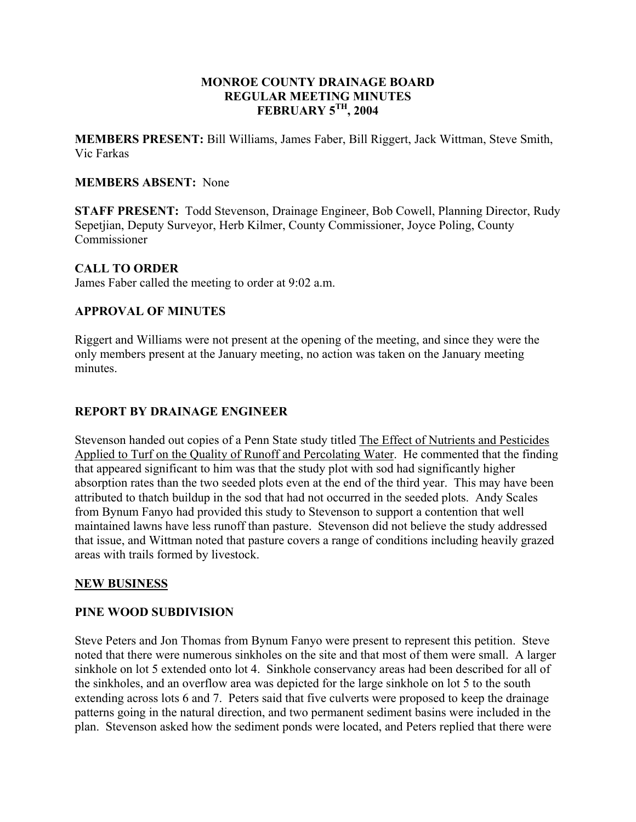### **MONROE COUNTY DRAINAGE BOARD REGULAR MEETING MINUTES FEBRUARY 5TH, 2004**

**MEMBERS PRESENT:** Bill Williams, James Faber, Bill Riggert, Jack Wittman, Steve Smith, Vic Farkas

### **MEMBERS ABSENT:** None

**STAFF PRESENT:** Todd Stevenson, Drainage Engineer, Bob Cowell, Planning Director, Rudy Sepetjian, Deputy Surveyor, Herb Kilmer, County Commissioner, Joyce Poling, County Commissioner

## **CALL TO ORDER**

James Faber called the meeting to order at 9:02 a.m.

# **APPROVAL OF MINUTES**

Riggert and Williams were not present at the opening of the meeting, and since they were the only members present at the January meeting, no action was taken on the January meeting minutes.

## **REPORT BY DRAINAGE ENGINEER**

Stevenson handed out copies of a Penn State study titled The Effect of Nutrients and Pesticides Applied to Turf on the Quality of Runoff and Percolating Water. He commented that the finding that appeared significant to him was that the study plot with sod had significantly higher absorption rates than the two seeded plots even at the end of the third year. This may have been attributed to thatch buildup in the sod that had not occurred in the seeded plots. Andy Scales from Bynum Fanyo had provided this study to Stevenson to support a contention that well maintained lawns have less runoff than pasture. Stevenson did not believe the study addressed that issue, and Wittman noted that pasture covers a range of conditions including heavily grazed areas with trails formed by livestock.

#### **NEW BUSINESS**

## **PINE WOOD SUBDIVISION**

Steve Peters and Jon Thomas from Bynum Fanyo were present to represent this petition. Steve noted that there were numerous sinkholes on the site and that most of them were small. A larger sinkhole on lot 5 extended onto lot 4. Sinkhole conservancy areas had been described for all of the sinkholes, and an overflow area was depicted for the large sinkhole on lot 5 to the south extending across lots 6 and 7. Peters said that five culverts were proposed to keep the drainage patterns going in the natural direction, and two permanent sediment basins were included in the plan. Stevenson asked how the sediment ponds were located, and Peters replied that there were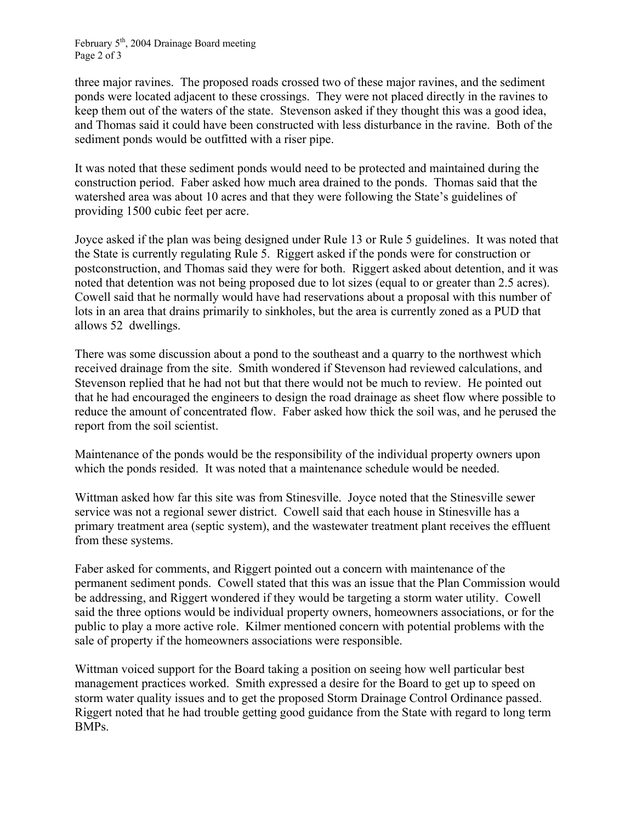February  $5<sup>th</sup>$ , 2004 Drainage Board meeting Page 2 of 3

three major ravines. The proposed roads crossed two of these major ravines, and the sediment ponds were located adjacent to these crossings. They were not placed directly in the ravines to keep them out of the waters of the state. Stevenson asked if they thought this was a good idea, and Thomas said it could have been constructed with less disturbance in the ravine. Both of the sediment ponds would be outfitted with a riser pipe.

It was noted that these sediment ponds would need to be protected and maintained during the construction period. Faber asked how much area drained to the ponds. Thomas said that the watershed area was about 10 acres and that they were following the State's guidelines of providing 1500 cubic feet per acre.

Joyce asked if the plan was being designed under Rule 13 or Rule 5 guidelines. It was noted that the State is currently regulating Rule 5. Riggert asked if the ponds were for construction or postconstruction, and Thomas said they were for both. Riggert asked about detention, and it was noted that detention was not being proposed due to lot sizes (equal to or greater than 2.5 acres). Cowell said that he normally would have had reservations about a proposal with this number of lots in an area that drains primarily to sinkholes, but the area is currently zoned as a PUD that allows 52 dwellings.

There was some discussion about a pond to the southeast and a quarry to the northwest which received drainage from the site. Smith wondered if Stevenson had reviewed calculations, and Stevenson replied that he had not but that there would not be much to review. He pointed out that he had encouraged the engineers to design the road drainage as sheet flow where possible to reduce the amount of concentrated flow. Faber asked how thick the soil was, and he perused the report from the soil scientist.

Maintenance of the ponds would be the responsibility of the individual property owners upon which the ponds resided. It was noted that a maintenance schedule would be needed.

Wittman asked how far this site was from Stinesville. Joyce noted that the Stinesville sewer service was not a regional sewer district. Cowell said that each house in Stinesville has a primary treatment area (septic system), and the wastewater treatment plant receives the effluent from these systems.

Faber asked for comments, and Riggert pointed out a concern with maintenance of the permanent sediment ponds. Cowell stated that this was an issue that the Plan Commission would be addressing, and Riggert wondered if they would be targeting a storm water utility. Cowell said the three options would be individual property owners, homeowners associations, or for the public to play a more active role. Kilmer mentioned concern with potential problems with the sale of property if the homeowners associations were responsible.

Wittman voiced support for the Board taking a position on seeing how well particular best management practices worked. Smith expressed a desire for the Board to get up to speed on storm water quality issues and to get the proposed Storm Drainage Control Ordinance passed. Riggert noted that he had trouble getting good guidance from the State with regard to long term BMPs.